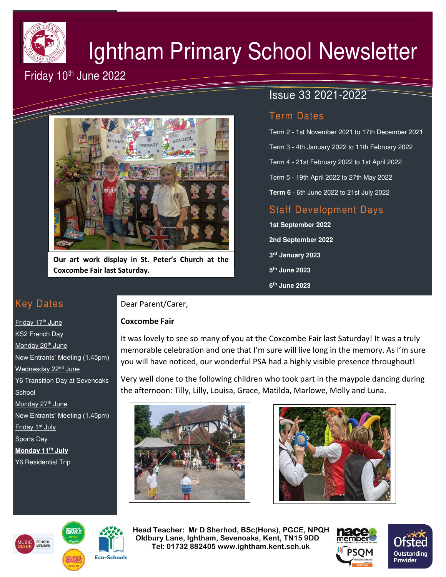

# Ightham Primary School Newsletter

# Friday 10<sup>th</sup> June 2022



**Our art work display in St. Peter's Church at the Coxcombe Fair last Saturday.** 

# Issue 33 2021-2022

### Term Dates

Term 2 - 1st November 2021 to 17th December 2021 Term 3 - 4th January 2022 to 11th February 2022 Term 4 - 21st February 2022 to 1st April 2022 Term 5 - 19th April 2022 to 27th May 2022 **Term 6** - 6th June 2022 to 21st July 2022

## Staff Development Days

**1st September 2022 2nd September 2022 3 rd January 2023 5 th June 2023 6 th June 2023** 

## Key Dates

Friday 17<sup>th</sup> June KS2 French Day Monday 20<sup>th</sup> June New Entrants' Meeting (1.45pm) Wednesday 22<sup>nd</sup> June Y6 Transition Day at Sevenoaks **School** Monday 27<sup>th</sup> June New Entrants' Meeting (1.45pm) Friday 1<sup>st</sup> July Sports Day **Monday 11th July**  Y6 Residential Trip

#### Dear Parent/Carer,

#### **Coxcombe Fair**

It was lovely to see so many of you at the Coxcombe Fair last Saturday! It was a truly memorable celebration and one that I'm sure will live long in the memory. As I'm sure you will have noticed, our wonderful PSA had a highly visible presence throughout!

Very well done to the following children who took part in the maypole dancing during the afternoon: Tilly, Lilly, Louisa, Grace, Matilda, Marlowe, Molly and Luna.









 **Head Teacher: Mr D Sherhod, BSc(Hons), PGCE, NPQH Oldbury Lane, Ightham, Sevenoaks, Kent, TN15 9DD** EXERIGING THE **TELE: 01732 882405 www.ightham.kent.sch.uk**<br>Tel: 01732 882405 www.ightham.kent.sch.uk

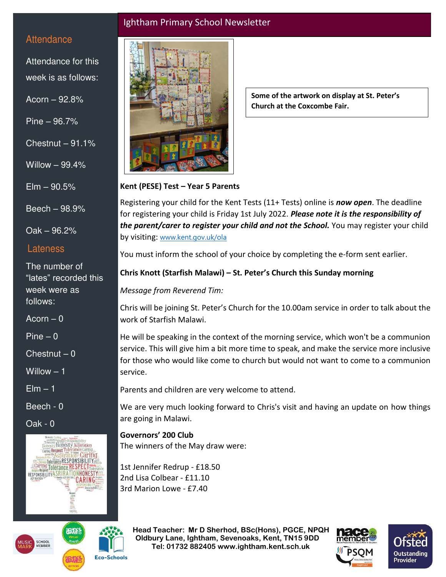#### Ightham Primary School Newsletter

#### **Attendance**

Attendance for this week is as follows:

Acorn – 92.8%

Pine – 96.7%

Chestnut  $-91.1%$ 

Willow – 99.4%

 $E$ lm  $-90.5%$ 

Beech – 98.9%

Oak – 96.2%

#### Lateness

The number of "lates" recorded this week were as follows:

 $Acorn - 0$ 

 $Pine - 0$ 

 $Chestnut - 0$ 

Willow – 1

 $E$ lm  $-1$ 

Beech - 0

Oak - 0





**Some of the artwork on display at St. Peter's Church at the Coxcombe Fair.** 

#### **Kent (PESE) Test – Year 5 Parents**

Registering your child for the Kent Tests (11+ Tests) online is *now open*. The deadline for registering your child is Friday 1st July 2022. *Please note it is the responsibility of the parent/carer to register your child and not the School.* You may register your child by visiting: [www.kent.gov.uk/ola](http://www.kent.gov.uk/ola) 

You must inform the school of your choice by completing the e-form sent earlier.

#### **Chris Knott (Starfish Malawi) – St. Peter's Church this Sunday morning**

*Message from Reverend Tim:* 

Chris will be joining St. Peter's Church for the 10.00am service in order to talk about the work of Starfish Malawi.

He will be speaking in the context of the morning service, which won't be a communion service. This will give him a bit more time to speak, and make the service more inclusive for those who would like come to church but would not want to come to a communion service.

Parents and children are very welcome to attend.

We are very much looking forward to Chris's visit and having an update on how things are going in Malawi.

**Governors' 200 Club** The winners of the May draw were:

1st Jennifer Redrup - £18.50 2nd Lisa Colbear - £11.10 3rd Marion Lowe - £7.40

 **Head Teacher: Mr D Sherhod, BSc(Hons), PGCE, NPQH Oldbury Lane, Ightham, Sevenoaks, Kent, TN15 9DD** EXERIGING THE **TELE: 01732 882405 www.ightham.kent.sch.uk**<br>Tel: 01732 882405 www.ightham.kent.sch.uk





**Eco-Schools**